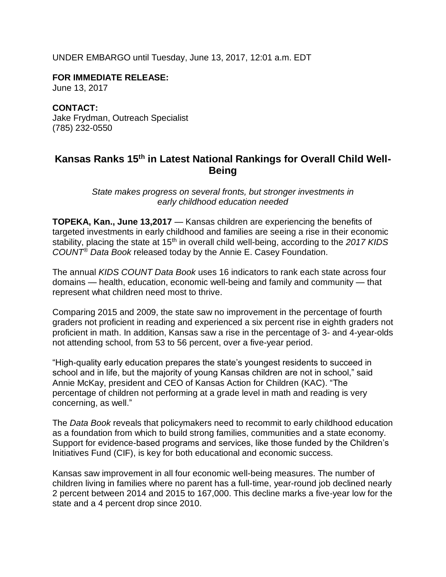UNDER EMBARGO until Tuesday, June 13, 2017, 12:01 a.m. EDT

**FOR IMMEDIATE RELEASE:** June 13, 2017

**CONTACT:** Jake Frydman, Outreach Specialist (785) 232-0550

## **Kansas Ranks 15th in Latest National Rankings for Overall Child Well-Being**

*State makes progress on several fronts, but stronger investments in early childhood education needed* 

**TOPEKA, Kan., June 13,2017** — Kansas children are experiencing the benefits of targeted investments in early childhood and families are seeing a rise in their economic stability, placing the state at 15<sup>th</sup> in overall child well-being, according to the 2017 KIDS *COUNT® Data Book* released today by the Annie E. Casey Foundation.

The annual *KIDS COUNT Data Book* uses 16 indicators to rank each state across four domains — health, education, economic well-being and family and community — that represent what children need most to thrive.

Comparing 2015 and 2009, the state saw no improvement in the percentage of fourth graders not proficient in reading and experienced a six percent rise in eighth graders not proficient in math. In addition, Kansas saw a rise in the percentage of 3- and 4-year-olds not attending school, from 53 to 56 percent, over a five-year period.

"High-quality early education prepares the state's youngest residents to succeed in school and in life, but the majority of young Kansas children are not in school," said Annie McKay, president and CEO of Kansas Action for Children (KAC). "The percentage of children not performing at a grade level in math and reading is very concerning, as well."

The *Data Book* reveals that policymakers need to recommit to early childhood education as a foundation from which to build strong families, communities and a state economy. Support for evidence-based programs and services, like those funded by the Children's Initiatives Fund (CIF), is key for both educational and economic success.

Kansas saw improvement in all four economic well-being measures. The number of children living in families where no parent has a full-time, year-round job declined nearly 2 percent between 2014 and 2015 to 167,000. This decline marks a five-year low for the state and a 4 percent drop since 2010.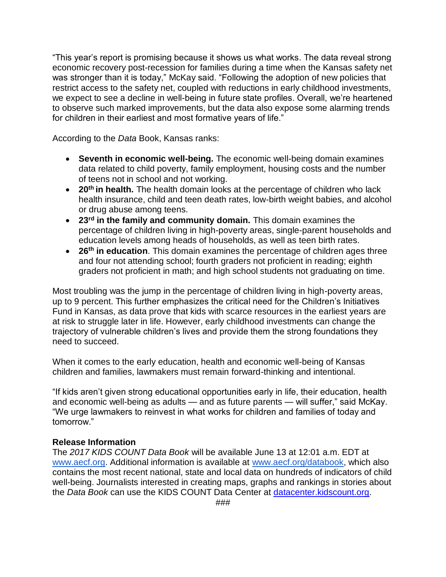"This year's report is promising because it shows us what works. The data reveal strong economic recovery post-recession for families during a time when the Kansas safety net was stronger than it is today," McKay said. "Following the adoption of new policies that restrict access to the safety net, coupled with reductions in early childhood investments, we expect to see a decline in well-being in future state profiles. Overall, we're heartened to observe such marked improvements, but the data also expose some alarming trends for children in their earliest and most formative years of life."

According to the *Data* Book, Kansas ranks:

- **Seventh in economic well-being.** The economic well-being domain examines data related to child poverty, family employment, housing costs and the number of teens not in school and not working.
- **20th in health.** The health domain looks at the percentage of children who lack health insurance, child and teen death rates, low-birth weight babies, and alcohol or drug abuse among teens.
- **23rd in the family and community domain.** This domain examines the percentage of children living in high-poverty areas, single-parent households and education levels among heads of households, as well as teen birth rates.
- **26th in education**. This domain examines the percentage of children ages three and four not attending school; fourth graders not proficient in reading; eighth graders not proficient in math; and high school students not graduating on time.

Most troubling was the jump in the percentage of children living in high-poverty areas, up to 9 percent. This further emphasizes the critical need for the Children's Initiatives Fund in Kansas, as data prove that kids with scarce resources in the earliest years are at risk to struggle later in life. However, early childhood investments can change the trajectory of vulnerable children's lives and provide them the strong foundations they need to succeed.

When it comes to the early education, health and economic well-being of Kansas children and families, lawmakers must remain forward-thinking and intentional.

"If kids aren't given strong educational opportunities early in life, their education, health and economic well-being as adults — and as future parents — will suffer," said McKay. "We urge lawmakers to reinvest in what works for children and families of today and tomorrow."

## **Release Information**

The *2017 KIDS COUNT Data Book* will be available June 13 at 12:01 a.m. EDT at [www.aecf.org.](http://www.aecf.org/) Additional information is available at [www.aecf.org/databook,](http://databook.kidscount.org/) which also contains the most recent national, state and local data on hundreds of indicators of child well-being. Journalists interested in creating maps, graphs and rankings in stories about the *Data Book* can use the KIDS COUNT Data Center at [datacenter.kidscount.org.](http://datacenter.kidscount.org/)